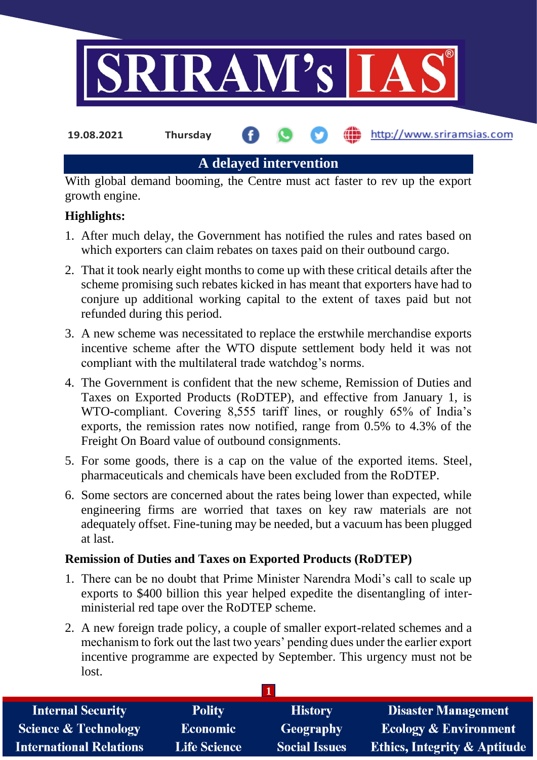

**19.08.2021 Thursday**

http://www.sriramsias.com

**A delayed intervention**

With global demand booming, the Centre must act faster to rev up the export growth engine.

# **Highlights:**

- 1. After much delay, the Government has notified the rules and rates based on which exporters can claim rebates on taxes paid on their outbound cargo.
- 2. That it took nearly eight months to come up with these critical details after the scheme promising such rebates kicked in has meant that exporters have had to conjure up additional working capital to the extent of taxes paid but not refunded during this period.
- 3. A new scheme was necessitated to replace the erstwhile merchandise exports incentive scheme after the WTO dispute settlement body held it was not compliant with the multilateral trade watchdog's norms.
- 4. The Government is confident that the new scheme, Remission of Duties and Taxes on Exported Products (RoDTEP), and effective from January 1, is WTO-compliant. Covering 8,555 tariff lines, or roughly 65% of India's exports, the remission rates now notified, range from 0.5% to 4.3% of the Freight On Board value of outbound consignments.
- 5. For some goods, there is a cap on the value of the exported items. Steel, pharmaceuticals and chemicals have been excluded from the RoDTEP.
- 6. Some sectors are concerned about the rates being lower than expected, while engineering firms are worried that taxes on key raw materials are not adequately offset. Fine-tuning may be needed, but a vacuum has been plugged at last.

## **Remission of Duties and Taxes on Exported Products (RoDTEP)**

- 1. There can be no doubt that Prime Minister Narendra Modi's call to scale up exports to \$400 billion this year helped expedite the disentangling of interministerial red tape over the RoDTEP scheme.
- 2. A new foreign trade policy, a couple of smaller export-related schemes and a mechanism to fork out the last two years' pending dues under the earlier export incentive programme are expected by September. This urgency must not be lost.

| <b>Internal Security</b>        | <b>Polity</b>       | <b>History</b>       | <b>Disaster Management</b>              |
|---------------------------------|---------------------|----------------------|-----------------------------------------|
| <b>Science &amp; Technology</b> | <b>Economic</b>     | <b>Geography</b>     | <b>Ecology &amp; Environment</b>        |
| <b>International Relations</b>  | <b>Life Science</b> | <b>Social Issues</b> | <b>Ethics, Integrity &amp; Aptitude</b> |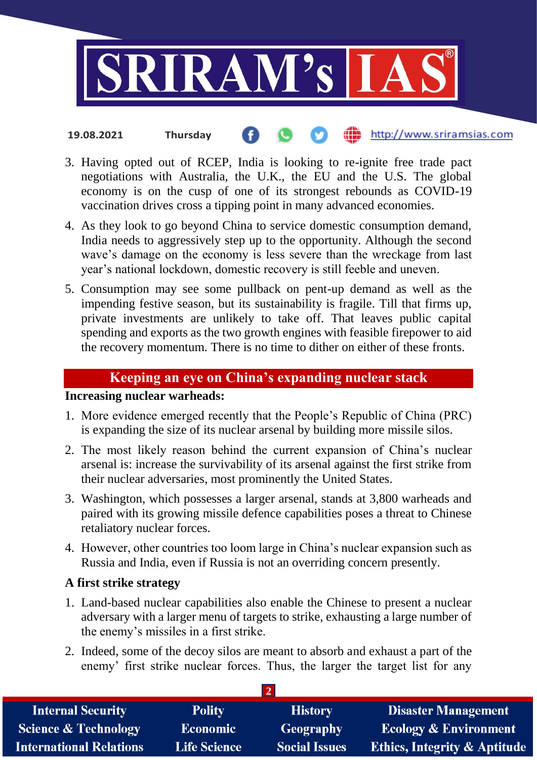

#### http://www.sriramsias.com **19.08.2021 Thursday**

- 3. Having opted out of RCEP, India is looking to re-ignite free trade pact negotiations with Australia, the U.K., the EU and the U.S. The global economy is on the cusp of one of its strongest rebounds as COVID-19 vaccination drives cross a tipping point in many advanced economies.
- 4. As they look to go beyond China to service domestic consumption demand, India needs to aggressively step up to the opportunity. Although the second wave's damage on the economy is less severe than the wreckage from last year's national lockdown, domestic recovery is still feeble and uneven.
- 5. Consumption may see some pullback on pent-up demand as well as the impending festive season, but its sustainability is fragile. Till that firms up, private investments are unlikely to take off. That leaves public capital spending and exports as the two growth engines with feasible firepower to aid the recovery momentum. There is no time to dither on either of these fronts.

## **Keeping an eye on China's expanding nuclear stack**

# **Increasing nuclear warheads:**

- 1. More evidence emerged recently that the People's Republic of China (PRC) is expanding the size of its nuclear arsenal by building more missile silos.
- 2. The most likely reason behind the current expansion of China's nuclear arsenal is: increase the survivability of its arsenal against the first strike from their nuclear adversaries, most prominently the United States.
- 3. Washington, which possesses a larger arsenal, stands at 3,800 warheads and paired with its growing missile defence capabilities poses a threat to Chinese retaliatory nuclear forces.
- 4. However, other countries too loom large in China's nuclear expansion such as Russia and India, even if Russia is not an overriding concern presently.

### **A first strike strategy**

- 1. Land-based nuclear capabilities also enable the Chinese to present a nuclear adversary with a larger menu of targets to strike, exhausting a large number of the enemy's missiles in a first strike.
- 2. Indeed, some of the decoy silos are meant to absorb and exhaust a part of the enemy' first strike nuclear forces. Thus, the larger the target list for any

| <b>Internal Security</b>        | <b>Polity</b>       | <b>History</b>       | <b>Disaster Management</b>              |
|---------------------------------|---------------------|----------------------|-----------------------------------------|
| <b>Science &amp; Technology</b> | Economic            | <b>Geography</b>     | <b>Ecology &amp; Environment</b>        |
| <b>International Relations</b>  | <b>Life Science</b> | <b>Social Issues</b> | <b>Ethics, Integrity &amp; Aptitude</b> |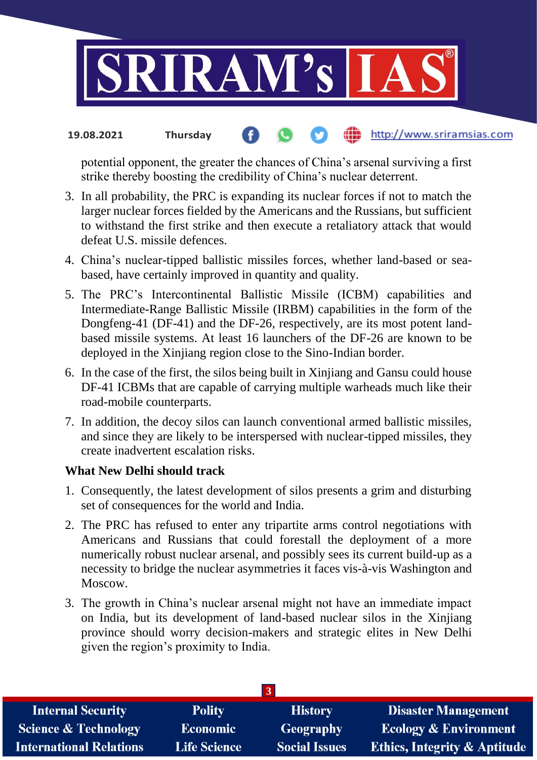

#### http://www.sriramsias.com **19.08.2021 Thursday**

potential opponent, the greater the chances of China's arsenal surviving a first strike thereby boosting the credibility of China's nuclear deterrent.

- 3. In all probability, the PRC is expanding its nuclear forces if not to match the larger nuclear forces fielded by the Americans and the Russians, but sufficient to withstand the first strike and then execute a retaliatory attack that would defeat U.S. missile defences.
- 4. China's nuclear-tipped ballistic missiles forces, whether land-based or seabased, have certainly improved in quantity and quality.
- 5. The PRC's Intercontinental Ballistic Missile (ICBM) capabilities and Intermediate-Range Ballistic Missile (IRBM) capabilities in the form of the Dongfeng-41 (DF-41) and the DF-26, respectively, are its most potent landbased missile systems. At least 16 launchers of the DF-26 are known to be deployed in the Xinjiang region close to the Sino-Indian border.
- 6. In the case of the first, the silos being built in Xinjiang and Gansu could house DF-41 ICBMs that are capable of carrying multiple warheads much like their road-mobile counterparts.
- 7. In addition, the decoy silos can launch conventional armed ballistic missiles, and since they are likely to be interspersed with nuclear-tipped missiles, they create inadvertent escalation risks.

### **What New Delhi should track**

- 1. Consequently, the latest development of silos presents a grim and disturbing set of consequences for the world and India.
- 2. The PRC has refused to enter any tripartite arms control negotiations with Americans and Russians that could forestall the deployment of a more numerically robust nuclear arsenal, and possibly sees its current build-up as a necessity to bridge the nuclear asymmetries it faces vis-à-vis Washington and Moscow.
- 3. The growth in China's nuclear arsenal might not have an immediate impact on India, but its development of land-based nuclear silos in the Xinjiang province should worry decision-makers and strategic elites in New Delhi given the region's proximity to India.

| <b>Internal Security</b>        | <b>Polity</b>       | <b>History</b>       | <b>Disaster Management</b>              |
|---------------------------------|---------------------|----------------------|-----------------------------------------|
| <b>Science &amp; Technology</b> | <b>Economic</b>     | Geography            | <b>Ecology &amp; Environment</b>        |
| <b>International Relations</b>  | <b>Life Science</b> | <b>Social Issues</b> | <b>Ethics, Integrity &amp; Aptitude</b> |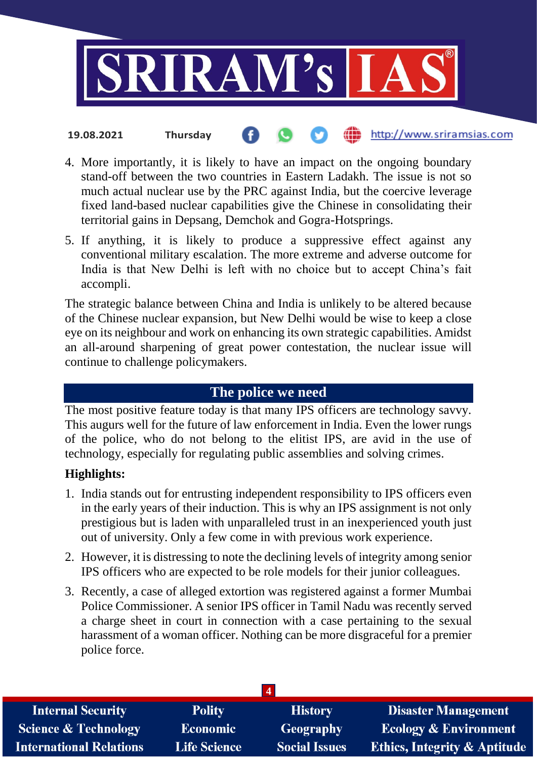

- http://www.sriramsias.com **19.08.2021 Thursday**
- 4. More importantly, it is likely to have an impact on the ongoing boundary stand-off between the two countries in Eastern Ladakh. The issue is not so much actual nuclear use by the PRC against India, but the coercive leverage fixed land-based nuclear capabilities give the Chinese in consolidating their territorial gains in Depsang, Demchok and Gogra-Hotsprings.
- 5. If anything, it is likely to produce a suppressive effect against any conventional military escalation. The more extreme and adverse outcome for India is that New Delhi is left with no choice but to accept China's fait accompli.

The strategic balance between China and India is unlikely to be altered because of the Chinese nuclear expansion, but New Delhi would be wise to keep a close eye on its neighbour and work on enhancing its own strategic capabilities. Amidst an all-around sharpening of great power contestation, the nuclear issue will continue to challenge policymakers.

## **The police we need**

The most positive feature today is that many IPS officers are technology savvy. This augurs well for the future of law enforcement in India. Even the lower rungs of the police, who do not belong to the elitist IPS, are avid in the use of technology, especially for regulating public assemblies and solving crimes.

### **Highlights:**

- 1. India stands out for entrusting independent responsibility to IPS officers even in the early years of their induction. This is why an IPS assignment is not only prestigious but is laden with unparalleled trust in an inexperienced youth just out of university. Only a few come in with previous work experience.
- 2. However, it is distressing to note the declining levels of integrity among senior IPS officers who are expected to be role models for their junior colleagues.
- 3. Recently, a case of alleged extortion was registered against a former Mumbai Police Commissioner. A senior IPS officer in Tamil Nadu was recently served a charge sheet in court in connection with a case pertaining to the sexual harassment of a woman officer. Nothing can be more disgraceful for a premier police force.

| <b>Internal Security</b>        | <b>Polity</b>       | <b>History</b>       | <b>Disaster Management</b>              |
|---------------------------------|---------------------|----------------------|-----------------------------------------|
| <b>Science &amp; Technology</b> | <b>Economic</b>     | <b>Geography</b>     | <b>Ecology &amp; Environment</b>        |
| <b>International Relations</b>  | <b>Life Science</b> | <b>Social Issues</b> | <b>Ethics, Integrity &amp; Aptitude</b> |